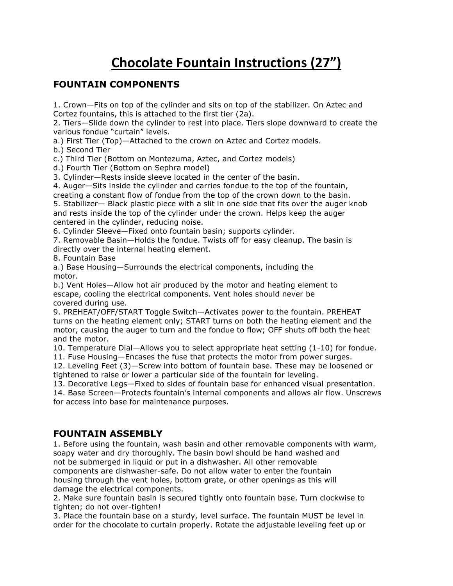# **Chocolate Fountain Instructions (27")**

# **FOUNTAIN COMPONENTS**

1. Crown—Fits on top of the cylinder and sits on top of the stabilizer. On Aztec and Cortez fountains, this is attached to the first tier (2a).

2. Tiers—Slide down the cylinder to rest into place. Tiers slope downward to create the various fondue "curtain" levels.

a.) First Tier (Top)—Attached to the crown on Aztec and Cortez models.

b.) Second Tier

c.) Third Tier (Bottom on Montezuma, Aztec, and Cortez models)

d.) Fourth Tier (Bottom on Sephra model)

3. Cylinder—Rests inside sleeve located in the center of the basin.

4. Auger—Sits inside the cylinder and carries fondue to the top of the fountain,

creating a constant flow of fondue from the top of the crown down to the basin. 5. Stabilizer— Black plastic piece with a slit in one side that fits over the auger knob and rests inside the top of the cylinder under the crown. Helps keep the auger centered in the cylinder, reducing noise.

6. Cylinder Sleeve—Fixed onto fountain basin; supports cylinder.

7. Removable Basin—Holds the fondue. Twists off for easy cleanup. The basin is directly over the internal heating element.

8. Fountain Base

a.) Base Housing—Surrounds the electrical components, including the motor.

b.) Vent Holes—Allow hot air produced by the motor and heating element to escape, cooling the electrical components. Vent holes should never be covered during use.

9. PREHEAT/OFF/START Toggle Switch—Activates power to the fountain. PREHEAT turns on the heating element only; START turns on both the heating element and the motor, causing the auger to turn and the fondue to flow; OFF shuts off both the heat and the motor.

10. Temperature Dial—Allows you to select appropriate heat setting (1-10) for fondue.

11. Fuse Housing—Encases the fuse that protects the motor from power surges.

12. Leveling Feet (3)—Screw into bottom of fountain base. These may be loosened or tightened to raise or lower a particular side of the fountain for leveling.

13. Decorative Legs—Fixed to sides of fountain base for enhanced visual presentation.

14. Base Screen—Protects fountain's internal components and allows air flow. Unscrews for access into base for maintenance purposes.

## **FOUNTAIN ASSEMBLY**

1. Before using the fountain, wash basin and other removable components with warm, soapy water and dry thoroughly. The basin bowl should be hand washed and not be submerged in liquid or put in a dishwasher. All other removable components are dishwasher-safe. Do not allow water to enter the fountain housing through the vent holes, bottom grate, or other openings as this will

damage the electrical components.

2. Make sure fountain basin is secured tightly onto fountain base. Turn clockwise to tighten; do not over-tighten!

3. Place the fountain base on a sturdy, level surface. The fountain MUST be level in order for the chocolate to curtain properly. Rotate the adjustable leveling feet up or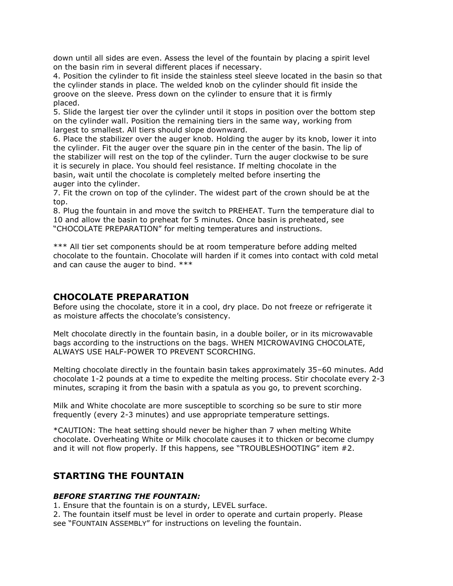down until all sides are even. Assess the level of the fountain by placing a spirit level on the basin rim in several different places if necessary.

4. Position the cylinder to fit inside the stainless steel sleeve located in the basin so that the cylinder stands in place. The welded knob on the cylinder should fit inside the groove on the sleeve. Press down on the cylinder to ensure that it is firmly placed.

5. Slide the largest tier over the cylinder until it stops in position over the bottom step on the cylinder wall. Position the remaining tiers in the same way, working from largest to smallest. All tiers should slope downward.

6. Place the stabilizer over the auger knob. Holding the auger by its knob, lower it into the cylinder. Fit the auger over the square pin in the center of the basin. The lip of the stabilizer will rest on the top of the cylinder. Turn the auger clockwise to be sure it is securely in place. You should feel resistance. If melting chocolate in the basin, wait until the chocolate is completely melted before inserting the auger into the cylinder.

7. Fit the crown on top of the cylinder. The widest part of the crown should be at the top.

8. Plug the fountain in and move the switch to PREHEAT. Turn the temperature dial to 10 and allow the basin to preheat for 5 minutes. Once basin is preheated, see "CHOCOLATE PREPARATION" for melting temperatures and instructions.

\*\*\* All tier set components should be at room temperature before adding melted chocolate to the fountain. Chocolate will harden if it comes into contact with cold metal and can cause the auger to bind. \*\*\*

## **CHOCOLATE PREPARATION**

Before using the chocolate, store it in a cool, dry place. Do not freeze or refrigerate it as moisture affects the chocolate's consistency.

Melt chocolate directly in the fountain basin, in a double boiler, or in its microwavable bags according to the instructions on the bags. WHEN MICROWAVING CHOCOLATE, ALWAYS USE HALF-POWER TO PREVENT SCORCHING.

Melting chocolate directly in the fountain basin takes approximately 35–60 minutes. Add chocolate 1-2 pounds at a time to expedite the melting process. Stir chocolate every 2-3 minutes, scraping it from the basin with a spatula as you go, to prevent scorching.

Milk and White chocolate are more susceptible to scorching so be sure to stir more frequently (every 2-3 minutes) and use appropriate temperature settings.

\*CAUTION: The heat setting should never be higher than 7 when melting White chocolate. Overheating White or Milk chocolate causes it to thicken or become clumpy and it will not flow properly. If this happens, see "TROUBLESHOOTING" item #2.

## **STARTING THE FOUNTAIN**

#### *BEFORE STARTING THE FOUNTAIN:*

1. Ensure that the fountain is on a sturdy, LEVEL surface.

2. The fountain itself must be level in order to operate and curtain properly. Please see "FOUNTAIN ASSEMBLY" for instructions on leveling the fountain.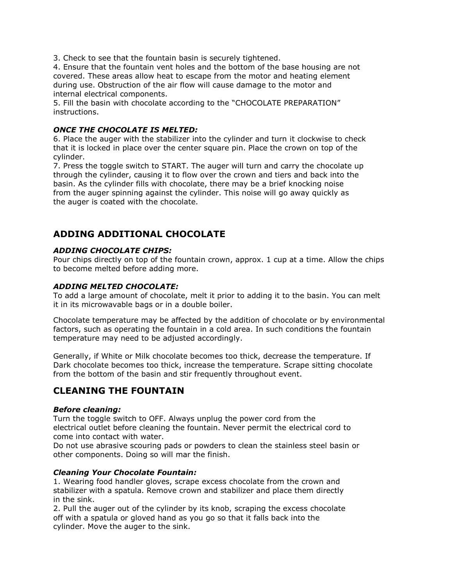3. Check to see that the fountain basin is securely tightened.

4. Ensure that the fountain vent holes and the bottom of the base housing are not covered. These areas allow heat to escape from the motor and heating element during use. Obstruction of the air flow will cause damage to the motor and internal electrical components.

5. Fill the basin with chocolate according to the "CHOCOLATE PREPARATION" instructions.

### *ONCE THE CHOCOLATE IS MELTED:*

6. Place the auger with the stabilizer into the cylinder and turn it clockwise to check that it is locked in place over the center square pin. Place the crown on top of the cylinder.

7. Press the toggle switch to START. The auger will turn and carry the chocolate up through the cylinder, causing it to flow over the crown and tiers and back into the basin. As the cylinder fills with chocolate, there may be a brief knocking noise from the auger spinning against the cylinder. This noise will go away quickly as the auger is coated with the chocolate.

## **ADDING ADDITIONAL CHOCOLATE**

### *ADDING CHOCOLATE CHIPS:*

Pour chips directly on top of the fountain crown, approx. 1 cup at a time. Allow the chips to become melted before adding more.

### *ADDING MELTED CHOCOLATE:*

To add a large amount of chocolate, melt it prior to adding it to the basin. You can melt it in its microwavable bags or in a double boiler.

Chocolate temperature may be affected by the addition of chocolate or by environmental factors, such as operating the fountain in a cold area. In such conditions the fountain temperature may need to be adjusted accordingly.

Generally, if White or Milk chocolate becomes too thick, decrease the temperature. If Dark chocolate becomes too thick, increase the temperature. Scrape sitting chocolate from the bottom of the basin and stir frequently throughout event.

# **CLEANING THE FOUNTAIN**

#### *Before cleaning:*

Turn the toggle switch to OFF. Always unplug the power cord from the electrical outlet before cleaning the fountain. Never permit the electrical cord to come into contact with water.

Do not use abrasive scouring pads or powders to clean the stainless steel basin or other components. Doing so will mar the finish.

#### *Cleaning Your Chocolate Fountain:*

1. Wearing food handler gloves, scrape excess chocolate from the crown and stabilizer with a spatula. Remove crown and stabilizer and place them directly in the sink.

2. Pull the auger out of the cylinder by its knob, scraping the excess chocolate off with a spatula or gloved hand as you go so that it falls back into the cylinder. Move the auger to the sink.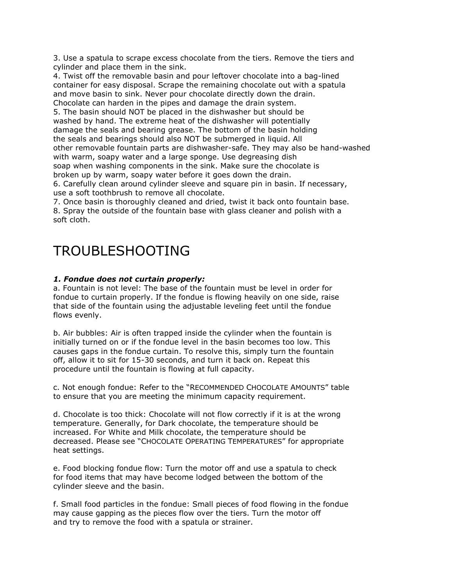3. Use a spatula to scrape excess chocolate from the tiers. Remove the tiers and cylinder and place them in the sink.

4. Twist off the removable basin and pour leftover chocolate into a bag-lined container for easy disposal. Scrape the remaining chocolate out with a spatula and move basin to sink. Never pour chocolate directly down the drain. Chocolate can harden in the pipes and damage the drain system.

5. The basin should NOT be placed in the dishwasher but should be washed by hand. The extreme heat of the dishwasher will potentially damage the seals and bearing grease. The bottom of the basin holding the seals and bearings should also NOT be submerged in liquid. All other removable fountain parts are dishwasher-safe. They may also be hand-washed with warm, soapy water and a large sponge. Use degreasing dish soap when washing components in the sink. Make sure the chocolate is broken up by warm, soapy water before it goes down the drain. 6. Carefully clean around cylinder sleeve and square pin in basin. If necessary,

use a soft toothbrush to remove all chocolate.

7. Once basin is thoroughly cleaned and dried, twist it back onto fountain base. 8. Spray the outside of the fountain base with glass cleaner and polish with a soft cloth.

# TROUBLESHOOTING

### *1. Fondue does not curtain properly:*

a. Fountain is not level: The base of the fountain must be level in order for fondue to curtain properly. If the fondue is flowing heavily on one side, raise that side of the fountain using the adjustable leveling feet until the fondue flows evenly.

b. Air bubbles: Air is often trapped inside the cylinder when the fountain is initially turned on or if the fondue level in the basin becomes too low. This causes gaps in the fondue curtain. To resolve this, simply turn the fountain off, allow it to sit for 15-30 seconds, and turn it back on. Repeat this procedure until the fountain is flowing at full capacity.

c. Not enough fondue: Refer to the "RECOMMENDED CHOCOLATE AMOUNTS" table to ensure that you are meeting the minimum capacity requirement.

d. Chocolate is too thick: Chocolate will not flow correctly if it is at the wrong temperature. Generally, for Dark chocolate, the temperature should be increased. For White and Milk chocolate, the temperature should be decreased. Please see "CHOCOLATE OPERATING TEMPERATURES" for appropriate heat settings.

e. Food blocking fondue flow: Turn the motor off and use a spatula to check for food items that may have become lodged between the bottom of the cylinder sleeve and the basin.

f. Small food particles in the fondue: Small pieces of food flowing in the fondue may cause gapping as the pieces flow over the tiers. Turn the motor off and try to remove the food with a spatula or strainer.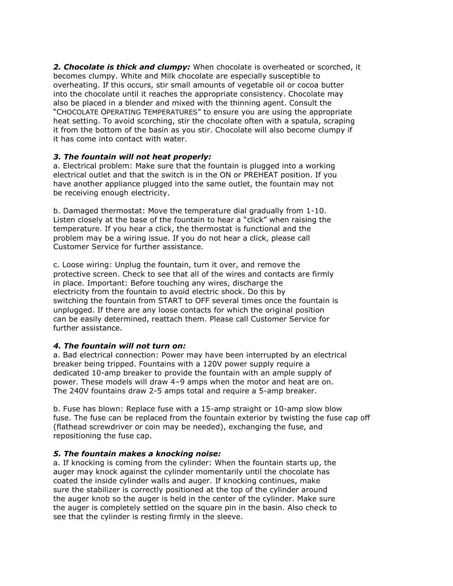**2. Chocolate is thick and clumpy:** When chocolate is overheated or scorched, it becomes clumpy. White and Milk chocolate are especially susceptible to overheating. If this occurs, stir small amounts of vegetable oil or cocoa butter into the chocolate until it reaches the appropriate consistency. Chocolate may also be placed in a blender and mixed with the thinning agent. Consult the "CHOCOLATE OPERATING TEMPERATURES" to ensure you are using the appropriate heat setting. To avoid scorching, stir the chocolate often with a spatula, scraping it from the bottom of the basin as you stir. Chocolate will also become clumpy if it has come into contact with water.

#### *3. The fountain will not heat properly:*

a. Electrical problem: Make sure that the fountain is plugged into a working electrical outlet and that the switch is in the ON or PREHEAT position. If you have another appliance plugged into the same outlet, the fountain may not be receiving enough electricity.

b. Damaged thermostat: Move the temperature dial gradually from 1-10. Listen closely at the base of the fountain to hear a "click" when raising the temperature. If you hear a click, the thermostat is functional and the problem may be a wiring issue. If you do not hear a click, please call Customer Service for further assistance.

c. Loose wiring: Unplug the fountain, turn it over, and remove the protective screen. Check to see that all of the wires and contacts are firmly in place. Important: Before touching any wires, discharge the electricity from the fountain to avoid electric shock. Do this by switching the fountain from START to OFF several times once the fountain is unplugged. If there are any loose contacts for which the original position can be easily determined, reattach them. Please call Customer Service for further assistance.

## *4. The fountain will not turn on:*

a. Bad electrical connection: Power may have been interrupted by an electrical breaker being tripped. Fountains with a 120V power supply require a dedicated 10-amp breaker to provide the fountain with an ample supply of power. These models will draw 4–9 amps when the motor and heat are on. The 240V fountains draw 2-5 amps total and require a 5-amp breaker.

b. Fuse has blown: Replace fuse with a 15-amp straight or 10-amp slow blow fuse. The fuse can be replaced from the fountain exterior by twisting the fuse cap off (flathead screwdriver or coin may be needed), exchanging the fuse, and repositioning the fuse cap.

## *5. The fountain makes a knocking noise:*

a. If knocking is coming from the cylinder: When the fountain starts up, the auger may knock against the cylinder momentarily until the chocolate has coated the inside cylinder walls and auger. If knocking continues, make sure the stabilizer is correctly positioned at the top of the cylinder around the auger knob so the auger is held in the center of the cylinder. Make sure the auger is completely settled on the square pin in the basin. Also check to see that the cylinder is resting firmly in the sleeve.